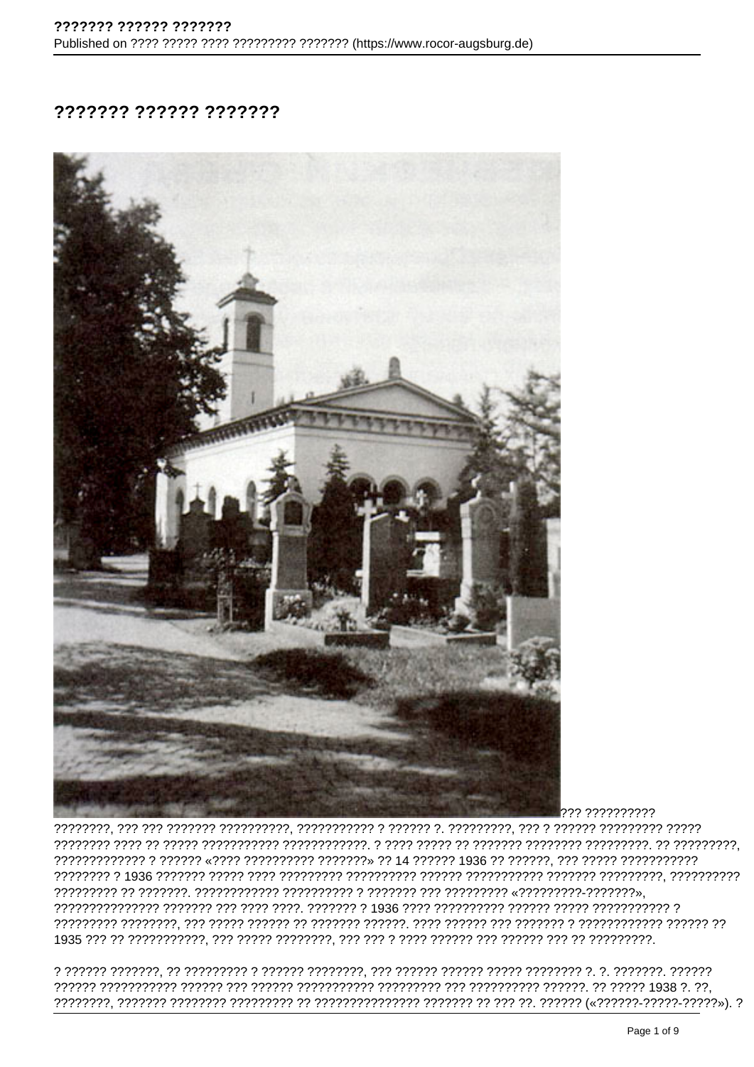## ??????? ?????? ???????



??? ??????????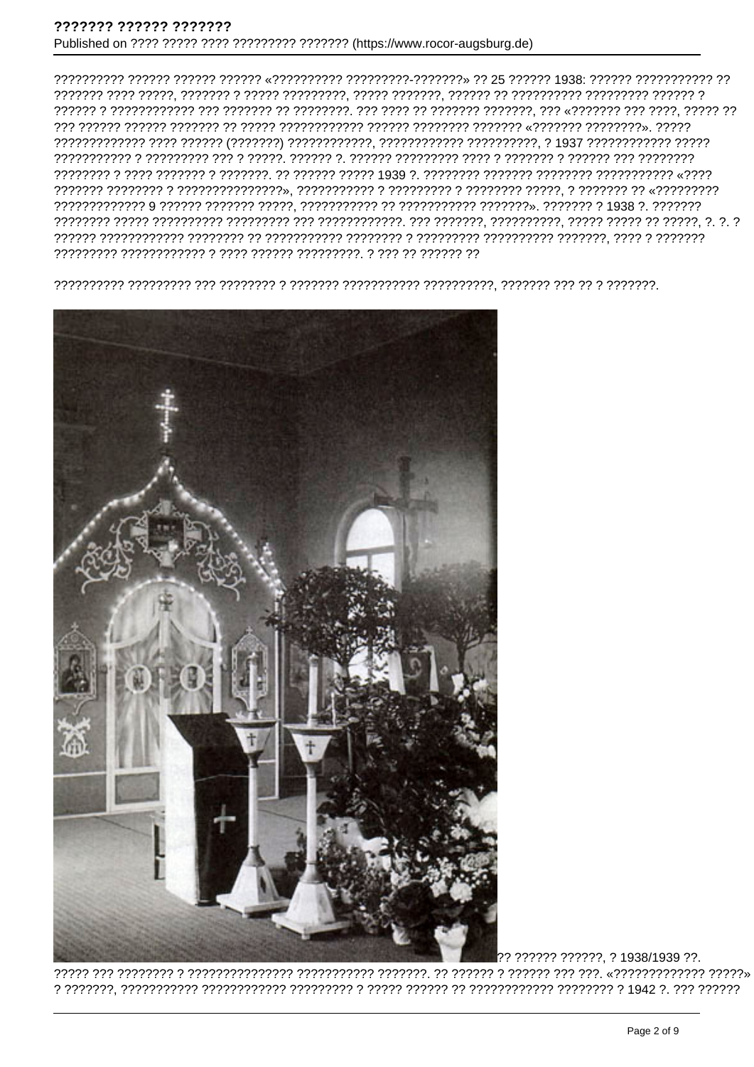

?????? ??????, ? 1938/1939 ??.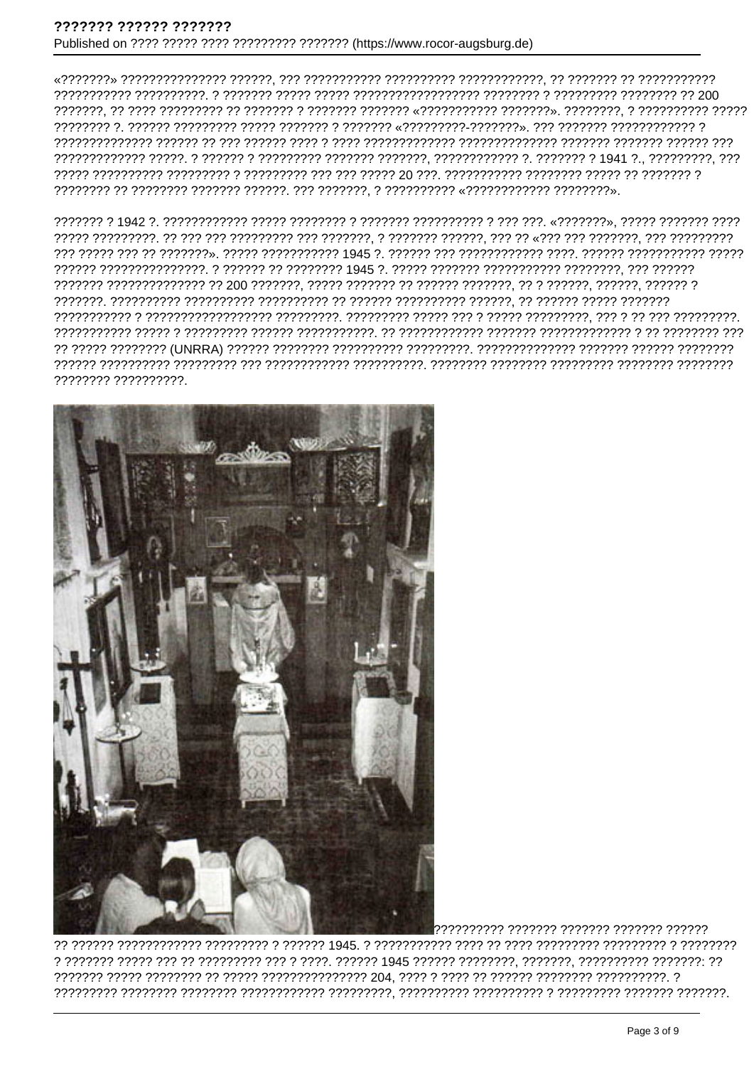???????? ??????????

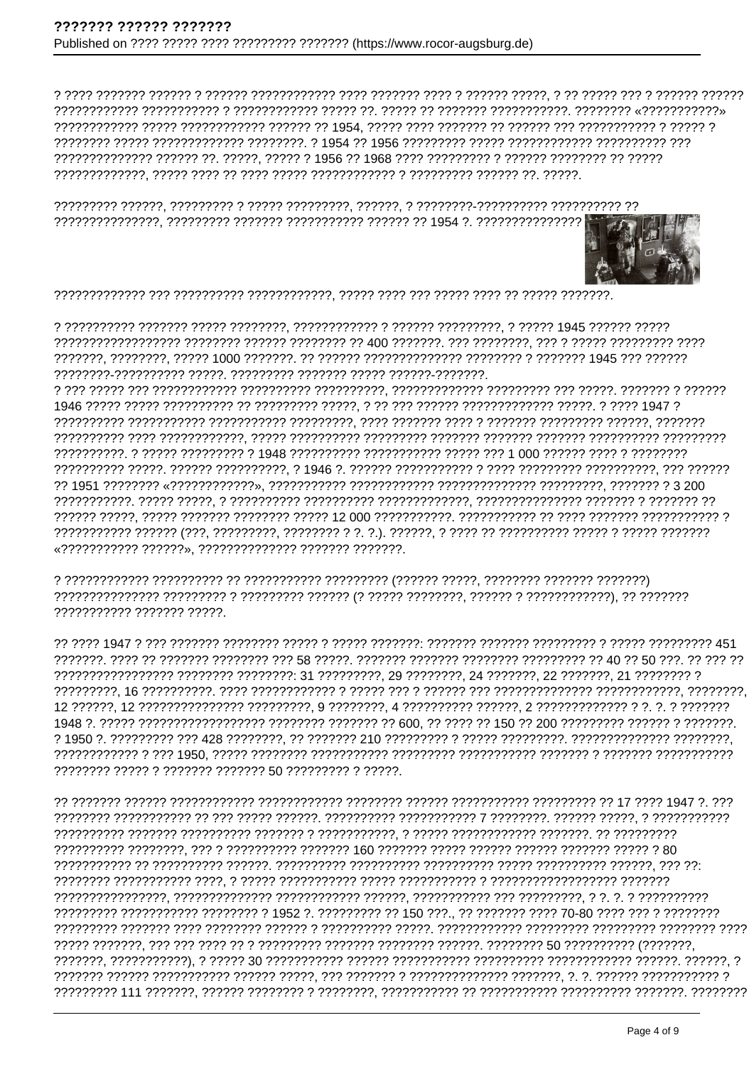

«??????????? ??????». ????????????? ??????? ???????.

??????????? ?????? ?????.

<u>77 7272 1947 2 227 2227222 2227222 22272 222722 2227222 2227222 22272222 22272222 232722222 2512</u> 

????????? ??????????? ???????? ? 1952 ?. ????????? ?? 150 ???.. ?? ??????? 70-80 ???? ??? ? ????????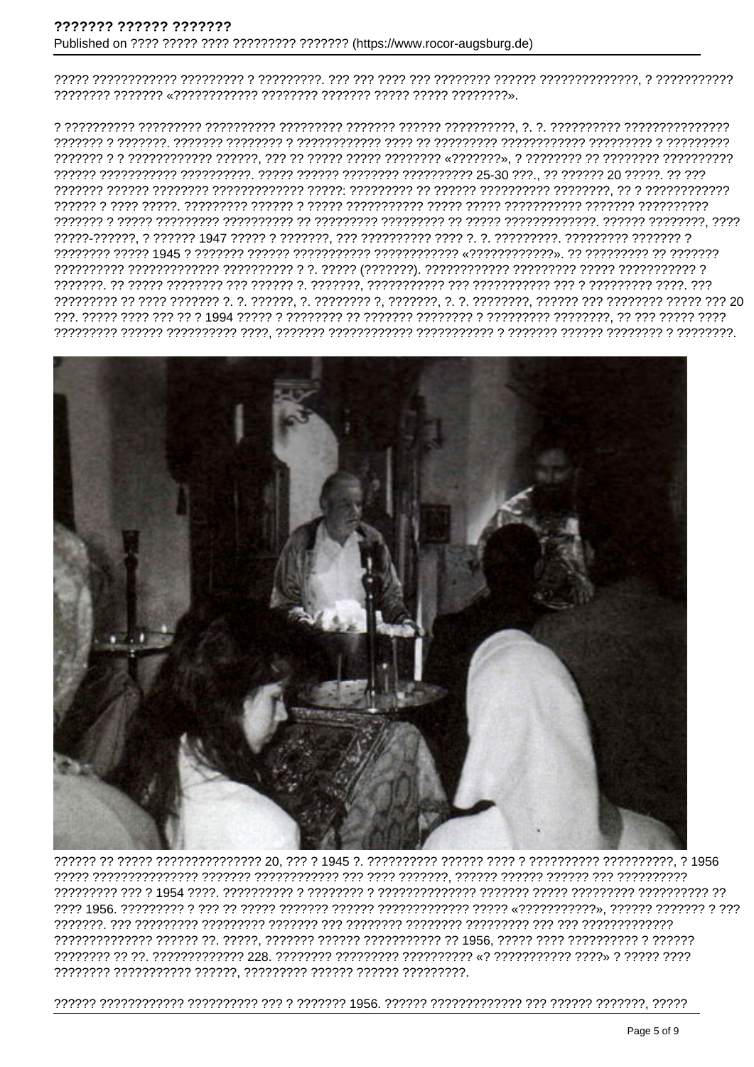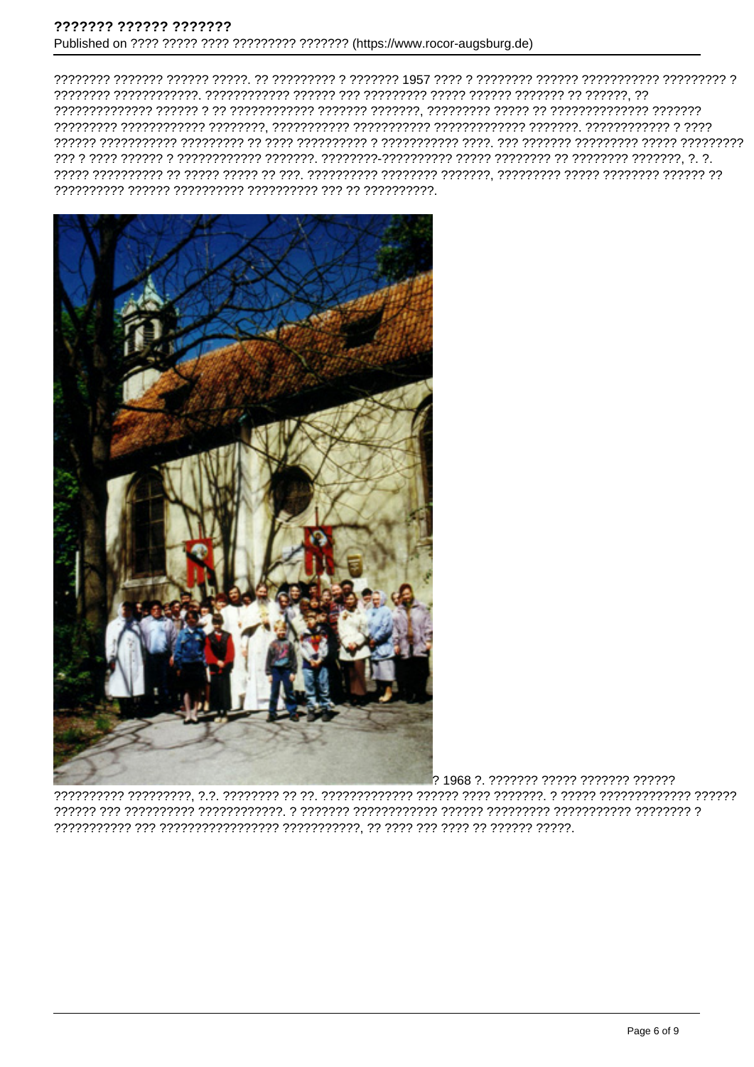

? 1968 ?. ??????? ????? ??????? ??????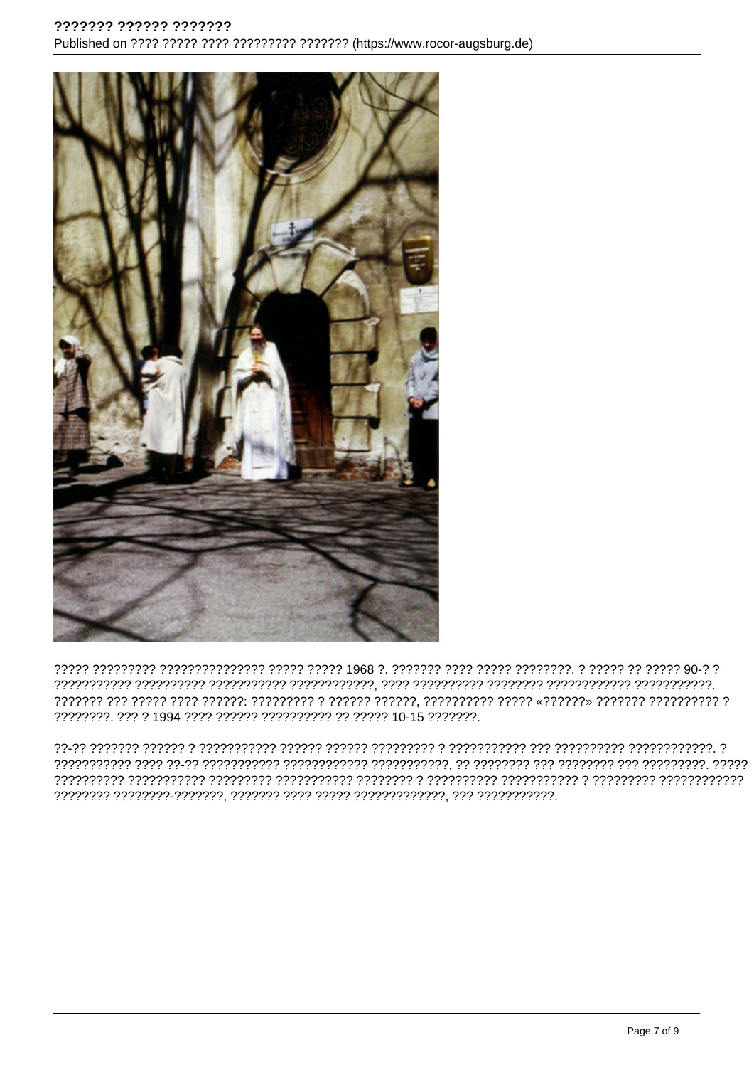